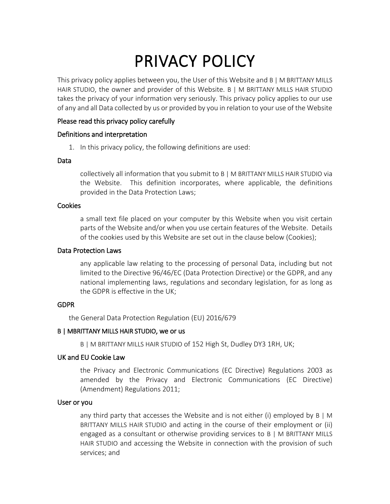# PRIVACY POLICY

This privacy policy applies between you, the User of this Website and B | M BRITTANY MILLS HAIR STUDIO, the owner and provider of this Website. B | M BRITTANY MILLS HAIR STUDIO takes the privacy of your information very seriously. This privacy policy applies to our use of any and all Data collected by us or provided by you in relation to your use of the Website

# Please read this privacy policy carefully

## Definitions and interpretation

1. In this privacy policy, the following definitions are used:

#### Data

collectively all information that you submit to B | M BRITTANY MILLS HAIR STUDIO via the Website. This definition incorporates, where applicable, the definitions provided in the Data Protection Laws;

## Cookies

a small text file placed on your computer by this Website when you visit certain parts of the Website and/or when you use certain features of the Website. Details of the cookies used by this Website are set out in the clause below (Cookies);

## Data Protection Laws

any applicable law relating to the processing of personal Data, including but not limited to the Directive 96/46/EC (Data Protection Directive) or the GDPR, and any national implementing laws, regulations and secondary legislation, for as long as the GDPR is effective in the UK;

## GDPR

the General Data Protection Regulation (EU) 2016/679

## B | MBRITTANY MILLS HAIR STUDIO, we or us

B | M BRITTANY MILLS HAIR STUDIO of 152 High St, Dudley DY3 1RH, UK;

# UK and EU Cookie Law

the Privacy and Electronic Communications (EC Directive) Regulations 2003 as amended by the Privacy and Electronic Communications (EC Directive) (Amendment) Regulations 2011;

## User or you

any third party that accesses the Website and is not either (i) employed by  $B \mid M$ BRITTANY MILLS HAIR STUDIO and acting in the course of their employment or (ii) engaged as a consultant or otherwise providing services to B | M BRITTANY MILLS HAIR STUDIO and accessing the Website in connection with the provision of such services; and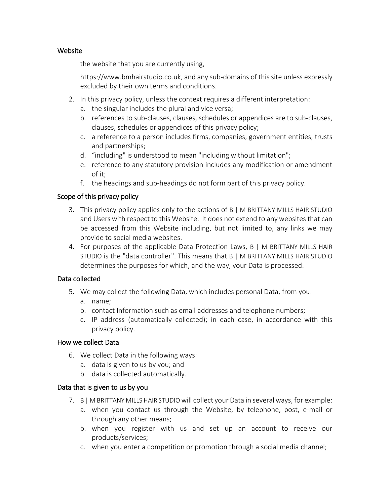# **Website**

the website that you are currently using,

https://www.bmhairstudio.co.uk, and any sub-domains of this site unless expressly excluded by their own terms and conditions.

- 2. In this privacy policy, unless the context requires a different interpretation:
	- a. the singular includes the plural and vice versa;
	- b. references to sub-clauses, clauses, schedules or appendices are to sub-clauses, clauses, schedules or appendices of this privacy policy;
	- c. a reference to a person includes firms, companies, government entities, trusts and partnerships;
	- d. "including" is understood to mean "including without limitation";
	- e. reference to any statutory provision includes any modification or amendment of it;
	- f. the headings and sub-headings do not form part of this privacy policy.

# Scope of this privacy policy

- 3. This privacy policy applies only to the actions of B | M BRITTANY MILLS HAIR STUDIO and Users with respect to this Website. It does not extend to any websites that can be accessed from this Website including, but not limited to, any links we may provide to social media websites.
- 4. For purposes of the applicable Data Protection Laws, B | M BRITTANY MILLS HAIR STUDIO is the "data controller". This means that B | M BRITTANY MILLS HAIR STUDIO determines the purposes for which, and the way, your Data is processed.

# Data collected

- 5. We may collect the following Data, which includes personal Data, from you:
	- a. name;
	- b. contact Information such as email addresses and telephone numbers;
	- c. IP address (automatically collected); in each case, in accordance with this privacy policy.

# How we collect Data

- 6. We collect Data in the following ways:
	- a. data is given to us by you; and
	- b. data is collected automatically.

# Data that is given to us by you

- 7. B | M BRITTANY MILLS HAIR STUDIO will collect your Data in several ways, for example:
	- a. when you contact us through the Website, by telephone, post, e-mail or through any other means;
	- b. when you register with us and set up an account to receive our products/services;
	- c. when you enter a competition or promotion through a social media channel;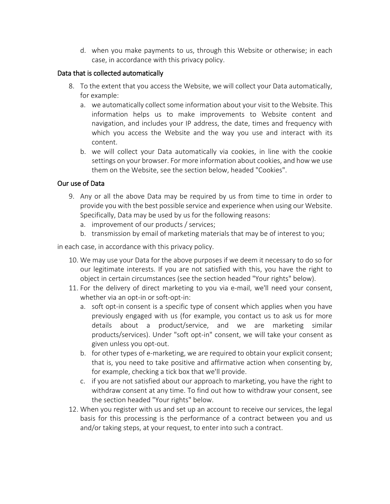d. when you make payments to us, through this Website or otherwise; in each case, in accordance with this privacy policy.

## Data that is collected automatically

- 8. To the extent that you access the Website, we will collect your Data automatically, for example:
	- a. we automatically collect some information about your visit to the Website. This information helps us to make improvements to Website content and navigation, and includes your IP address, the date, times and frequency with which you access the Website and the way you use and interact with its content.
	- b. we will collect your Data automatically via cookies, in line with the cookie settings on your browser. For more information about cookies, and how we use them on the Website, see the section below, headed "Cookies".

## Our use of Data

- 9. Any or all the above Data may be required by us from time to time in order to provide you with the best possible service and experience when using our Website. Specifically, Data may be used by us for the following reasons:
	- a. improvement of our products / services;
	- b. transmission by email of marketing materials that may be of interest to you;

in each case, in accordance with this privacy policy.

- 10. We may use your Data for the above purposes if we deem it necessary to do so for our legitimate interests. If you are not satisfied with this, you have the right to object in certain circumstances (see the section headed "Your rights" below).
- 11. For the delivery of direct marketing to you via e-mail, we'll need your consent, whether via an opt-in or soft-opt-in:
	- a. soft opt-in consent is a specific type of consent which applies when you have previously engaged with us (for example, you contact us to ask us for more details about a product/service, and we are marketing similar products/services). Under "soft opt-in" consent, we will take your consent as given unless you opt-out.
	- b. for other types of e-marketing, we are required to obtain your explicit consent; that is, you need to take positive and affirmative action when consenting by, for example, checking a tick box that we'll provide.
	- c. if you are not satisfied about our approach to marketing, you have the right to withdraw consent at any time. To find out how to withdraw your consent, see the section headed "Your rights" below.
- 12. When you register with us and set up an account to receive our services, the legal basis for this processing is the performance of a contract between you and us and/or taking steps, at your request, to enter into such a contract.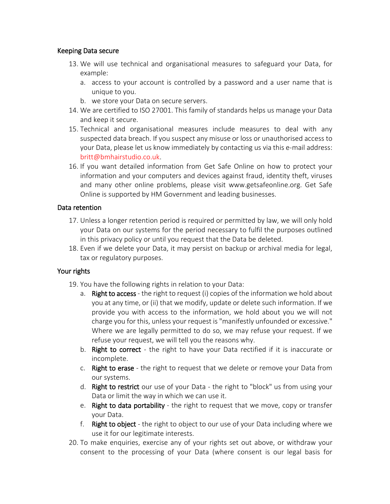## Keeping Data secure

- 13. We will use technical and organisational measures to safeguard your Data, for example:
	- a. access to your account is controlled by a password and a user name that is unique to you.
	- b. we store your Data on secure servers.
- 14. We are certified to ISO 27001. This family of standards helps us manage your Data and keep it secure.
- 15. Technical and organisational measures include measures to deal with any suspected data breach. If you suspect any misuse or loss or unauthorised access to your Data, please let us know immediately by contacting us via this e-mail address: [britt@bmhairstudio.co.uk.](mailto:farrowlow@gmail.com)
- 16. If you want detailed information from Get Safe Online on how to protect your information and your computers and devices against fraud, identity theft, viruses and many other online problems, please visit www.getsafeonline.org. Get Safe Online is supported by HM Government and leading businesses.

# Data retention

- 17. Unless a longer retention period is required or permitted by law, we will only hold your Data on our systems for the period necessary to fulfil the purposes outlined in this privacy policy or until you request that the Data be deleted.
- 18. Even if we delete your Data, it may persist on backup or archival media for legal, tax or regulatory purposes.

# Your rights

- 19. You have the following rights in relation to your Data:
	- a. Right to access the right to request (i) copies of the information we hold about you at any time, or (ii) that we modify, update or delete such information. If we provide you with access to the information, we hold about you we will not charge you for this, unless your request is "manifestly unfounded or excessive." Where we are legally permitted to do so, we may refuse your request. If we refuse your request, we will tell you the reasons why.
	- b. Right to correct the right to have your Data rectified if it is inaccurate or incomplete.
	- c. Right to erase the right to request that we delete or remove your Data from our systems.
	- d. Right to restrict our use of your Data the right to "block" us from using your Data or limit the way in which we can use it.
	- e. Right to data portability the right to request that we move, copy or transfer your Data.
	- f. Right to object the right to object to our use of your Data including where we use it for our legitimate interests.
- 20. To make enquiries, exercise any of your rights set out above, or withdraw your consent to the processing of your Data (where consent is our legal basis for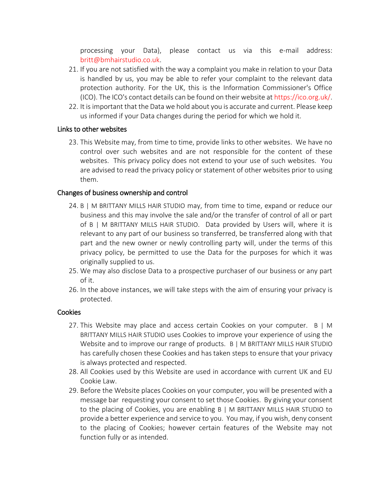processing your Data), please contact us via this e-mail address: [britt@bmhairstudio.co.uk.](mailto:farrowlow@gmail.com)

- 21. If you are not satisfied with the way a complaint you make in relation to your Data is handled by us, you may be able to refer your complaint to the relevant data protection authority. For the UK, this is the Information Commissioner's Office (ICO). The ICO's contact details can be found on their website a[t https://ico.org.uk/.](https://ico.org.uk/)
- 22. It is important that the Data we hold about you is accurate and current. Please keep us informed if your Data changes during the period for which we hold it.

# Links to other websites

23. This Website may, from time to time, provide links to other websites. We have no control over such websites and are not responsible for the content of these websites. This privacy policy does not extend to your use of such websites. You are advised to read the privacy policy or statement of other websites prior to using them.

## Changes of business ownership and control

- 24. B | M BRITTANY MILLS HAIR STUDIO may, from time to time, expand or reduce our business and this may involve the sale and/or the transfer of control of all or part of B | M BRITTANY MILLS HAIR STUDIO. Data provided by Users will, where it is relevant to any part of our business so transferred, be transferred along with that part and the new owner or newly controlling party will, under the terms of this privacy policy, be permitted to use the Data for the purposes for which it was originally supplied to us.
- 25. We may also disclose Data to a prospective purchaser of our business or any part of it.
- 26. In the above instances, we will take steps with the aim of ensuring your privacy is protected.

## **Cookies**

- 27. This Website may place and access certain Cookies on your computer. B | M BRITTANY MILLS HAIR STUDIO uses Cookies to improve your experience of using the Website and to improve our range of products. B | M BRITTANY MILLS HAIR STUDIO has carefully chosen these Cookies and has taken steps to ensure that your privacy is always protected and respected.
- 28. All Cookies used by this Website are used in accordance with current UK and EU Cookie Law.
- 29. Before the Website places Cookies on your computer, you will be presented with a message bar requesting your consent to set those Cookies. By giving your consent to the placing of Cookies, you are enabling B | M BRITTANY MILLS HAIR STUDIO to provide a better experience and service to you. You may, if you wish, deny consent to the placing of Cookies; however certain features of the Website may not function fully or as intended.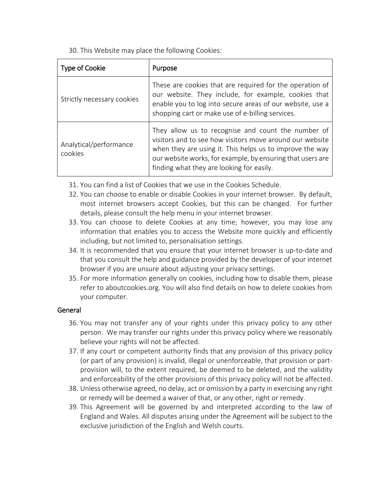30. This Website may place the following Cookies:

| Type of Cookie                    | Purpose                                                                                                                                                                                                                                                                               |
|-----------------------------------|---------------------------------------------------------------------------------------------------------------------------------------------------------------------------------------------------------------------------------------------------------------------------------------|
| Strictly necessary cookies        | These are cookies that are required for the operation of<br>our website. They include, for example, cookies that<br>enable you to log into secure areas of our website, use a<br>shopping cart or make use of e-billing services.                                                     |
| Analytical/performance<br>cookies | They allow us to recognise and count the number of<br>visitors and to see how visitors move around our website<br>when they are using it. This helps us to improve the way<br>our website works, for example, by ensuring that users are<br>finding what they are looking for easily. |

- 31. You can find a list of Cookies that we use in the Cookies Schedule.
- 32. You can choose to enable or disable Cookies in your internet browser. By default, most internet browsers accept Cookies, but this can be changed. For further details, please consult the help menu in your internet browser.
- 33. You can choose to delete Cookies at any time; however, you may lose any information that enables you to access the Website more quickly and efficiently including, but not limited to, personalisation settings.
- 34. It is recommended that you ensure that your internet browser is up-to-date and that you consult the help and guidance provided by the developer of your internet browser if you are unsure about adjusting your privacy settings.
- 35. For more information generally on cookies, including how to disable them, please refer to aboutcookies.org. You will also find details on how to delete cookies from your computer.

# General

- 36. You may not transfer any of your rights under this privacy policy to any other person. We may transfer our rights under this privacy policy where we reasonably believe your rights will not be affected.
- 37. If any court or competent authority finds that any provision of this privacy policy (or part of any provision) is invalid, illegal or unenforceable, that provision or partprovision will, to the extent required, be deemed to be deleted, and the validity and enforceability of the other provisions of this privacy policy will not be affected.
- 38. Unless otherwise agreed, no delay, act or omission by a party in exercising any right or remedy will be deemed a waiver of that, or any other, right or remedy.
- 39. This Agreement will be governed by and interpreted according to the law of England and Wales. All disputes arising under the Agreement will be subject to the exclusive jurisdiction of the English and Welsh courts.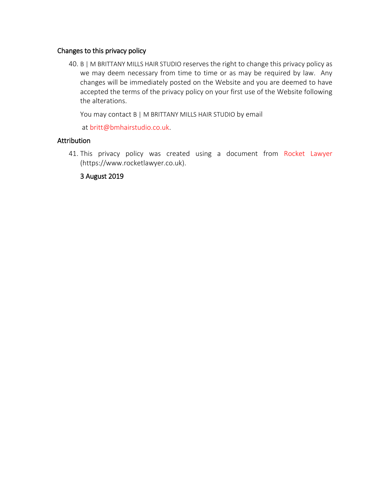## Changes to this privacy policy

40. B | M BRITTANY MILLS HAIR STUDIO reserves the right to change this privacy policy as we may deem necessary from time to time or as may be required by law. Any changes will be immediately posted on the Website and you are deemed to have accepted the terms of the privacy policy on your first use of the Website following the alterations.

You may contact B | M BRITTANY MILLS HAIR STUDIO by email

at [britt@bmhairstudio.co.uk.](mailto:farrowlow@gmail.com)

# **Attribution**

41. This privacy policy was created using a document from [Rocket Lawyer](https://www.rocketlawyer.co.uk/) (https://www.rocketlawyer.co.uk).

# 3 August 2019